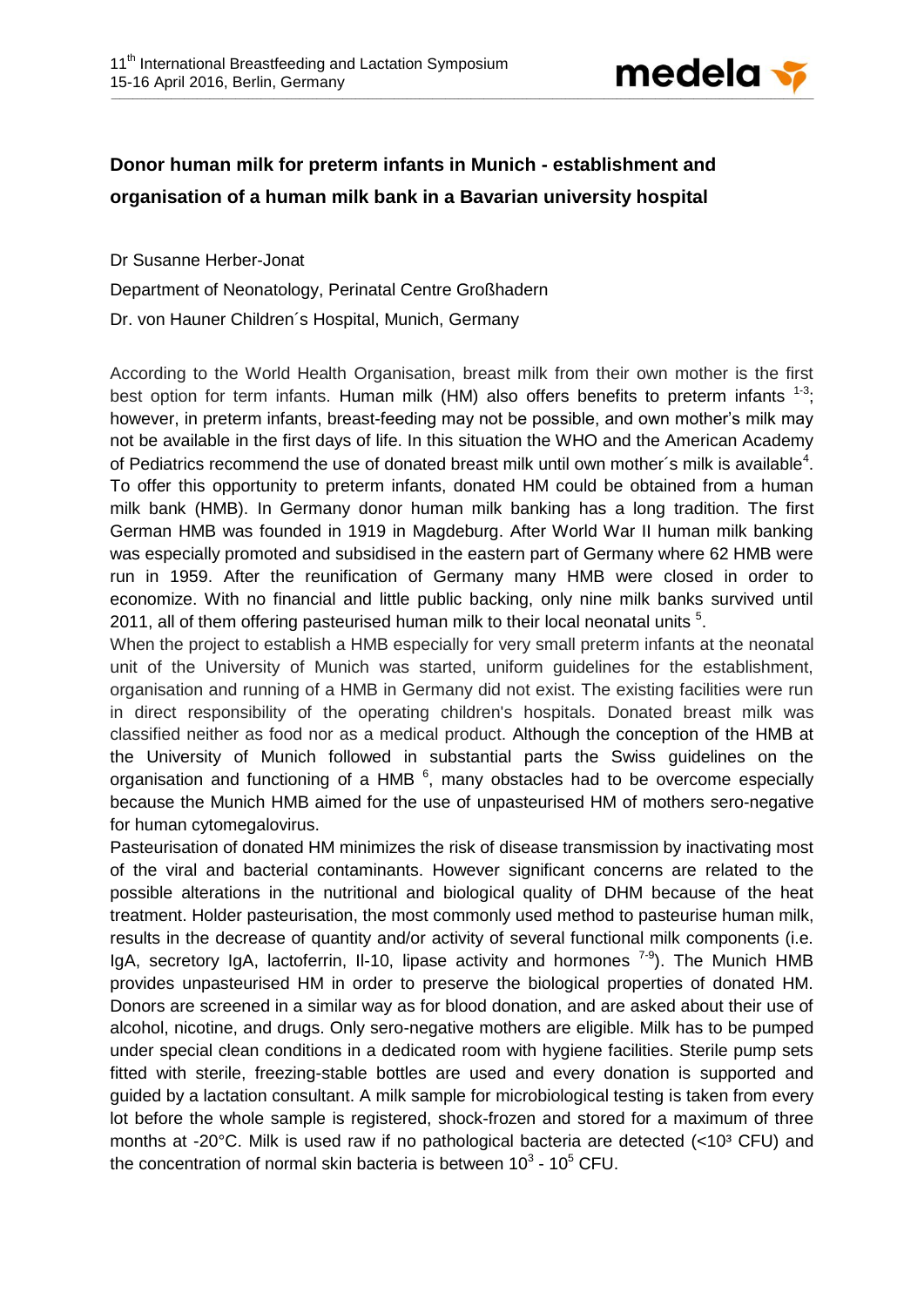

## **Donor human milk for preterm infants in Munich - establishment and organisation of a human milk bank in a Bavarian university hospital**

Dr Susanne Herber-Jonat Department of Neonatology, Perinatal Centre Großhadern Dr. von Hauner Children´s Hospital, Munich, Germany

According to the World Health Organisation, breast milk from their own mother is the first best option for term infants. Human milk (HM) also offers benefits to preterm infants  $1-3$ ; however, in preterm infants, breast-feeding may not be possible, and own mother's milk may not be available in the first days of life. In this situation the WHO and the American Academy of Pediatrics recommend the use of donated breast milk until own mother's milk is available<sup>4</sup>. To offer this opportunity to preterm infants, donated HM could be obtained from a human milk bank (HMB). In Germany donor human milk banking has a long tradition. The first German HMB was founded in 1919 in Magdeburg. After World War II human milk banking was especially promoted and subsidised in the eastern part of Germany where 62 HMB were run in 1959. After the reunification of Germany many HMB were closed in order to economize. With no financial and little public backing, only nine milk banks survived until 2011, all of them offering pasteurised human milk to their local neonatal units  $5$ .

When the project to establish a HMB especially for very small preterm infants at the neonatal unit of the University of Munich was started, uniform guidelines for the establishment, organisation and running of a HMB in Germany did not exist. The existing facilities were run in direct responsibility of the operating children's hospitals. Donated breast milk was classified neither as food nor as a medical product. Although the conception of the HMB at the University of Munich followed in substantial parts the Swiss guidelines on the organisation and functioning of a HMB  $6$ , many obstacles had to be overcome especially because the Munich HMB aimed for the use of unpasteurised HM of mothers sero-negative for human cytomegalovirus.

Pasteurisation of donated HM minimizes the risk of disease transmission by inactivating most of the viral and bacterial contaminants. However significant concerns are related to the possible alterations in the nutritional and biological quality of DHM because of the heat treatment. Holder pasteurisation, the most commonly used method to pasteurise human milk, results in the decrease of quantity and/or activity of several functional milk components (i.e. IgA, secretory IgA, lactoferrin, II-10, lipase activity and hormones <sup>7-9</sup>). The Munich HMB provides unpasteurised HM in order to preserve the biological properties of donated HM. Donors are screened in a similar way as for blood donation, and are asked about their use of alcohol, nicotine, and drugs. Only sero-negative mothers are eligible. Milk has to be pumped under special clean conditions in a dedicated room with hygiene facilities. Sterile pump sets fitted with sterile, freezing-stable bottles are used and every donation is supported and guided by a lactation consultant. A milk sample for microbiological testing is taken from every lot before the whole sample is registered, shock-frozen and stored for a maximum of three months at -20 $\degree$ C. Milk is used raw if no pathological bacteria are detected (<10 $\degree$  CFU) and the concentration of normal skin bacteria is between 10<sup>3</sup> - 10<sup>5</sup> CFU.